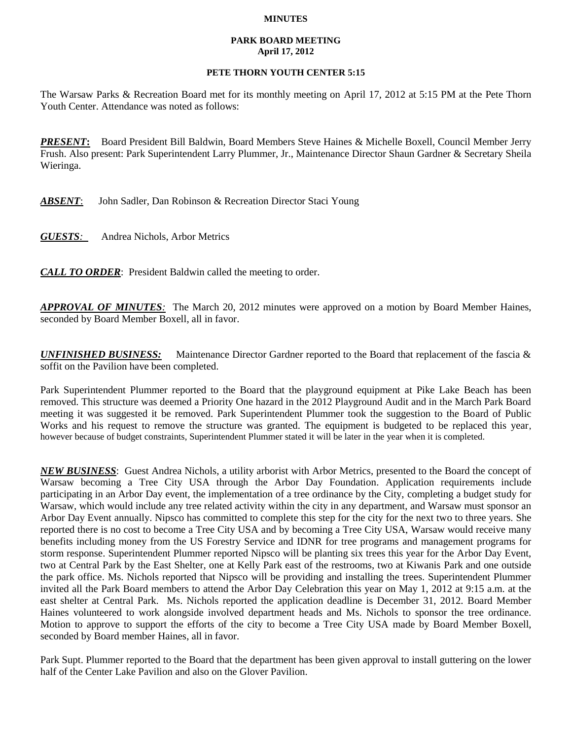## **MINUTES**

## **PARK BOARD MEETING April 17, 2012**

## **PETE THORN YOUTH CENTER 5:15**

The Warsaw Parks & Recreation Board met for its monthly meeting on April 17, 2012 at 5:15 PM at the Pete Thorn Youth Center. Attendance was noted as follows:

*PRESENT***:** Board President Bill Baldwin, Board Members Steve Haines & Michelle Boxell, Council Member Jerry Frush. Also present: Park Superintendent Larry Plummer, Jr., Maintenance Director Shaun Gardner & Secretary Sheila Wieringa.

*ABSENT*: John Sadler, Dan Robinson & Recreation Director Staci Young

*GUESTS:*Andrea Nichols, Arbor Metrics

*CALL TO ORDER*: President Baldwin called the meeting to order.

*APPROVAL OF MINUTES:* The March 20, 2012 minutes were approved on a motion by Board Member Haines, seconded by Board Member Boxell, all in favor.

*UNFINISHED BUSINESS:* Maintenance Director Gardner reported to the Board that replacement of the fascia & soffit on the Pavilion have been completed.

Park Superintendent Plummer reported to the Board that the playground equipment at Pike Lake Beach has been removed. This structure was deemed a Priority One hazard in the 2012 Playground Audit and in the March Park Board meeting it was suggested it be removed. Park Superintendent Plummer took the suggestion to the Board of Public Works and his request to remove the structure was granted. The equipment is budgeted to be replaced this year, however because of budget constraints, Superintendent Plummer stated it will be later in the year when it is completed.

*NEW BUSINESS*: Guest Andrea Nichols, a utility arborist with Arbor Metrics, presented to the Board the concept of Warsaw becoming a Tree City USA through the Arbor Day Foundation. Application requirements include participating in an Arbor Day event, the implementation of a tree ordinance by the City, completing a budget study for Warsaw, which would include any tree related activity within the city in any department, and Warsaw must sponsor an Arbor Day Event annually. Nipsco has committed to complete this step for the city for the next two to three years. She reported there is no cost to become a Tree City USA and by becoming a Tree City USA, Warsaw would receive many benefits including money from the US Forestry Service and IDNR for tree programs and management programs for storm response. Superintendent Plummer reported Nipsco will be planting six trees this year for the Arbor Day Event, two at Central Park by the East Shelter, one at Kelly Park east of the restrooms, two at Kiwanis Park and one outside the park office. Ms. Nichols reported that Nipsco will be providing and installing the trees. Superintendent Plummer invited all the Park Board members to attend the Arbor Day Celebration this year on May 1, 2012 at 9:15 a.m. at the east shelter at Central Park. Ms. Nichols reported the application deadline is December 31, 2012. Board Member Haines volunteered to work alongside involved department heads and Ms. Nichols to sponsor the tree ordinance. Motion to approve to support the efforts of the city to become a Tree City USA made by Board Member Boxell, seconded by Board member Haines, all in favor.

Park Supt. Plummer reported to the Board that the department has been given approval to install guttering on the lower half of the Center Lake Pavilion and also on the Glover Pavilion.